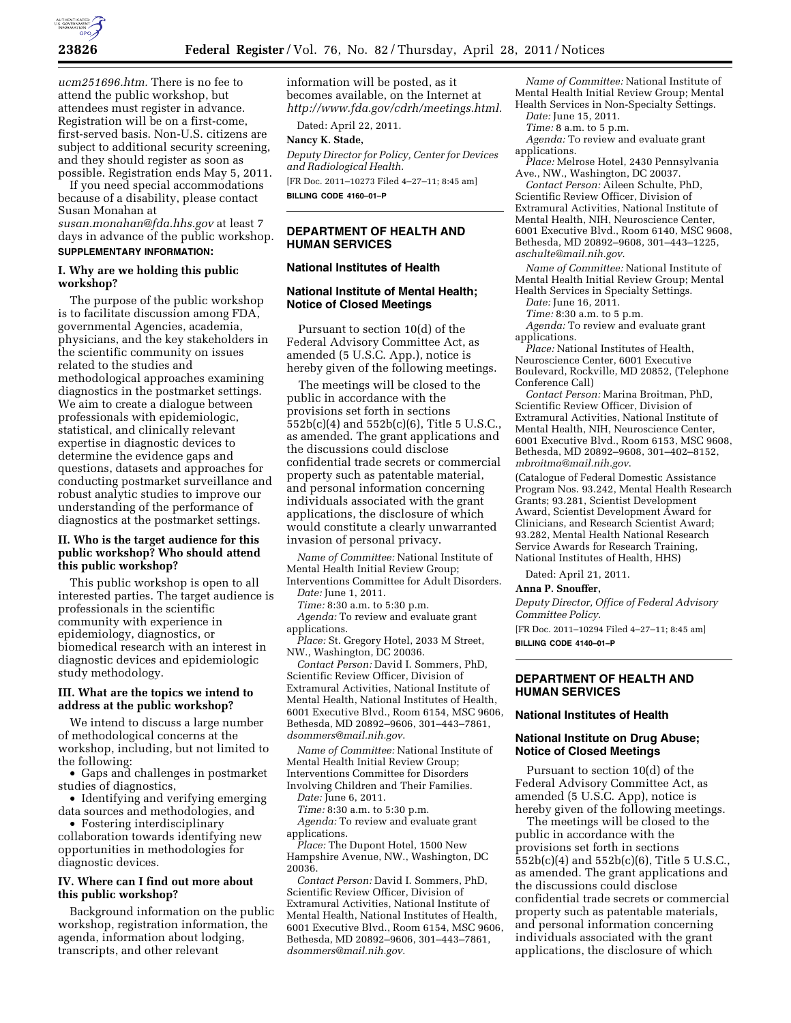

*ucm251696.htm.* There is no fee to attend the public workshop, but attendees must register in advance. Registration will be on a first-come, first-served basis. Non-U.S. citizens are subject to additional security screening, and they should register as soon as possible. Registration ends May 5, 2011.

If you need special accommodations because of a disability, please contact Susan Monahan at

*[susan.monahan@fda.hhs.gov](mailto:susan.monahan@fda.hhs.gov)* at least 7 days in advance of the public workshop. **SUPPLEMENTARY INFORMATION:** 

### **I. Why are we holding this public workshop?**

The purpose of the public workshop is to facilitate discussion among FDA, governmental Agencies, academia, physicians, and the key stakeholders in the scientific community on issues related to the studies and methodological approaches examining diagnostics in the postmarket settings. We aim to create a dialogue between professionals with epidemiologic, statistical, and clinically relevant expertise in diagnostic devices to determine the evidence gaps and questions, datasets and approaches for conducting postmarket surveillance and robust analytic studies to improve our understanding of the performance of diagnostics at the postmarket settings.

### **II. Who is the target audience for this public workshop? Who should attend this public workshop?**

This public workshop is open to all interested parties. The target audience is professionals in the scientific community with experience in epidemiology, diagnostics, or biomedical research with an interest in diagnostic devices and epidemiologic study methodology.

### **III. What are the topics we intend to address at the public workshop?**

We intend to discuss a large number of methodological concerns at the workshop, including, but not limited to the following:

• Gaps and challenges in postmarket studies of diagnostics,

• Identifying and verifying emerging data sources and methodologies, and

• Fostering interdisciplinary collaboration towards identifying new opportunities in methodologies for diagnostic devices.

### **IV. Where can I find out more about this public workshop?**

Background information on the public workshop, registration information, the agenda, information about lodging, transcripts, and other relevant

information will be posted, as it becomes available, on the Internet at *[http://www.fda.gov/cdrh/meetings.html.](http://www.fda.gov/cdrh/meetings.html)* 

Dated: April 22, 2011.

# **Nancy K. Stade,**

*Deputy Director for Policy, Center for Devices and Radiological Health.* 

[FR Doc. 2011–10273 Filed 4–27–11; 8:45 am] **BILLING CODE 4160–01–P** 

#### **DEPARTMENT OF HEALTH AND HUMAN SERVICES**

### **National Institutes of Health**

#### **National Institute of Mental Health; Notice of Closed Meetings**

Pursuant to section 10(d) of the Federal Advisory Committee Act, as amended (5 U.S.C. App.), notice is hereby given of the following meetings.

The meetings will be closed to the public in accordance with the provisions set forth in sections 552b(c)(4) and 552b(c)(6), Title 5 U.S.C., as amended. The grant applications and the discussions could disclose confidential trade secrets or commercial property such as patentable material, and personal information concerning individuals associated with the grant applications, the disclosure of which would constitute a clearly unwarranted invasion of personal privacy.

*Name of Committee:* National Institute of Mental Health Initial Review Group;

Interventions Committee for Adult Disorders. *Date:* June 1, 2011.

*Time:* 8:30 a.m. to 5:30 p.m.

*Agenda:* To review and evaluate grant applications.

*Place:* St. Gregory Hotel, 2033 M Street, NW., Washington, DC 20036.

*Contact Person:* David I. Sommers, PhD, Scientific Review Officer, Division of Extramural Activities, National Institute of Mental Health, National Institutes of Health, 6001 Executive Blvd., Room 6154, MSC 9606, Bethesda, MD 20892–9606, 301–443–7861, *[dsommers@mail.nih.gov](mailto:dsommers@mail.nih.gov)*.

*Name of Committee:* National Institute of Mental Health Initial Review Group; Interventions Committee for Disorders

Involving Children and Their Families. *Date:* June 6, 2011.

*Time:* 8:30 a.m. to 5:30 p.m.

*Agenda:* To review and evaluate grant applications.

*Place:* The Dupont Hotel, 1500 New Hampshire Avenue, NW., Washington, DC 20036.

*Contact Person:* David I. Sommers, PhD, Scientific Review Officer, Division of Extramural Activities, National Institute of Mental Health, National Institutes of Health, 6001 Executive Blvd., Room 6154, MSC 9606, Bethesda, MD 20892–9606, 301–443–7861, *[dsommers@mail.nih.gov](mailto:dsommers@mail.nih.gov)*.

*Name of Committee:* National Institute of Mental Health Initial Review Group; Mental Health Services in Non-Specialty Settings.

*Date:* June 15, 2011.

*Time:* 8 a.m. to 5 p.m. *Agenda:* To review and evaluate grant applications.

*Place:* Melrose Hotel, 2430 Pennsylvania Ave., NW., Washington, DC 20037.

*Contact Person:* Aileen Schulte, PhD, Scientific Review Officer, Division of Extramural Activities, National Institute of Mental Health, NIH, Neuroscience Center, 6001 Executive Blvd., Room 6140, MSC 9608, Bethesda, MD 20892–9608, 301–443–1225, *[aschulte@mail.nih.gov](mailto:aschulte@mail.nih.gov)*.

*Name of Committee:* National Institute of Mental Health Initial Review Group; Mental Health Services in Specialty Settings.

*Date:* June 16, 2011.

*Time:* 8:30 a.m. to 5 p.m.

*Agenda:* To review and evaluate grant applications.

*Place:* National Institutes of Health, Neuroscience Center, 6001 Executive Boulevard, Rockville, MD 20852, (Telephone Conference Call)

*Contact Person:* Marina Broitman, PhD, Scientific Review Officer, Division of Extramural Activities, National Institute of Mental Health, NIH, Neuroscience Center, 6001 Executive Blvd., Room 6153, MSC 9608, Bethesda, MD 20892–9608, 301–402–8152, *[mbroitma@mail.nih.gov](mailto:mbroitma@mail.nih.gov)*.

(Catalogue of Federal Domestic Assistance Program Nos. 93.242, Mental Health Research Grants; 93.281, Scientist Development Award, Scientist Development Award for Clinicians, and Research Scientist Award; 93.282, Mental Health National Research Service Awards for Research Training, National Institutes of Health, HHS)

Dated: April 21, 2011.

**Anna P. Snouffer,** 

*Deputy Director, Office of Federal Advisory Committee Policy.* 

[FR Doc. 2011–10294 Filed 4–27–11; 8:45 am] **BILLING CODE 4140–01–P** 

**DEPARTMENT OF HEALTH AND HUMAN SERVICES** 

#### **National Institutes of Health**

#### **National Institute on Drug Abuse; Notice of Closed Meetings**

Pursuant to section 10(d) of the Federal Advisory Committee Act, as amended (5 U.S.C. App), notice is hereby given of the following meetings.

The meetings will be closed to the public in accordance with the provisions set forth in sections 552b(c)(4) and 552b(c)(6), Title 5 U.S.C., as amended. The grant applications and the discussions could disclose confidential trade secrets or commercial property such as patentable materials, and personal information concerning individuals associated with the grant applications, the disclosure of which